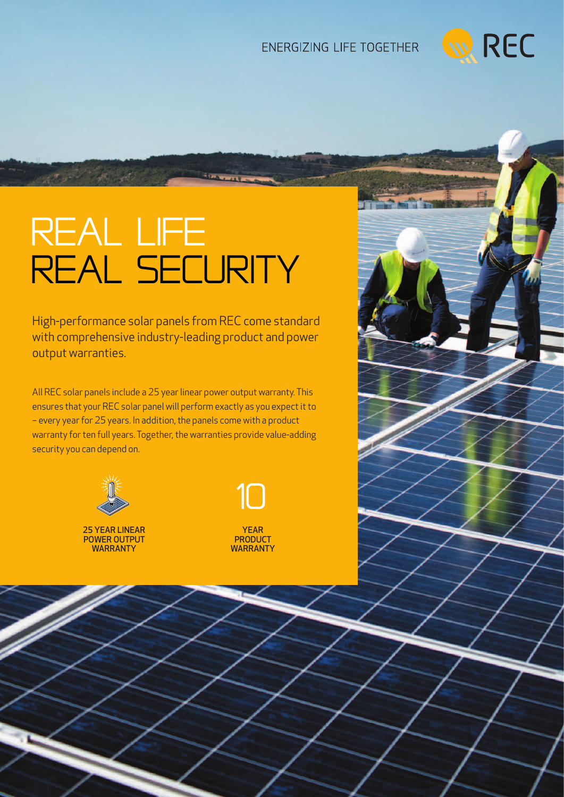## ENERGIZING LIFE TOGETHER



# Real life REAL SECURITY

High-performance solar panels from REC come standard with comprehensive industry-leading product and power output warranties.

All REC solar panels include a 25 year linear power output warranty. This ensures that your REC solar panel will perform exactly as you expect it to – every year for 25 years. In addition, the panels come with a product warranty for ten full years. Together, the warranties provide value-adding security you can depend on.



and the state of the state

25 YEAR LINEAR power output **WARRANTY** 

> ROBUST AND DURABLE DESIGN

OPTIMIZED ALSO FOR



**WARRANTY**